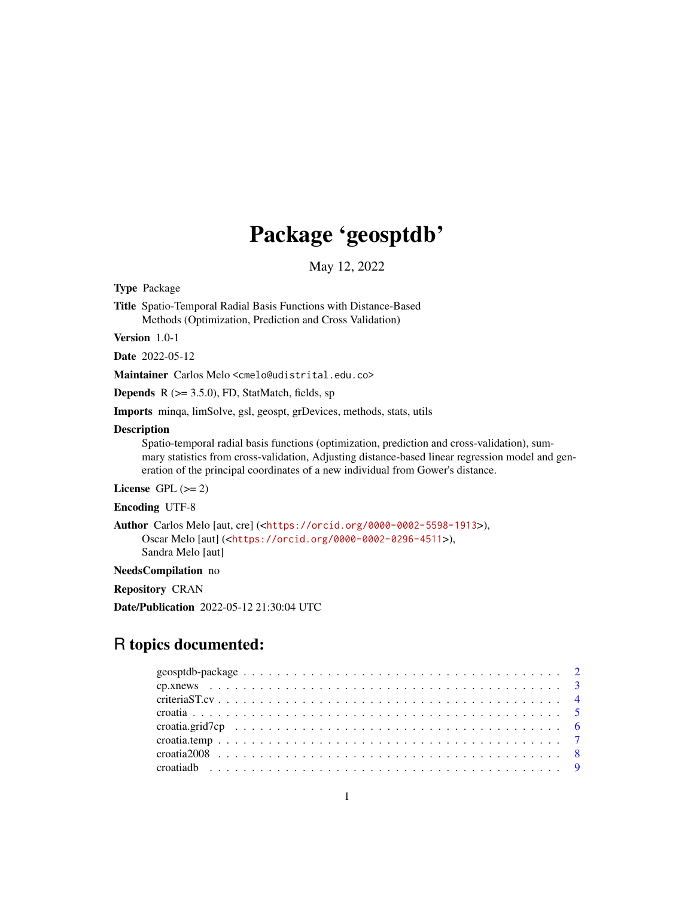# Package 'geosptdb'

May 12, 2022

<span id="page-0-0"></span>Type Package

Title Spatio-Temporal Radial Basis Functions with Distance-Based Methods (Optimization, Prediction and Cross Validation)

Version 1.0-1

Date 2022-05-12

Maintainer Carlos Melo <cmelo@udistrital.edu.co>

**Depends** R  $(>= 3.5.0)$ , FD, StatMatch, fields, sp

Imports minqa, limSolve, gsl, geospt, grDevices, methods, stats, utils

#### Description

Spatio-temporal radial basis functions (optimization, prediction and cross-validation), summary statistics from cross-validation, Adjusting distance-based linear regression model and generation of the principal coordinates of a new individual from Gower's distance.

License GPL  $(>= 2)$ 

Encoding UTF-8

```
Author Carlos Melo [aut, cre] (<https://orcid.org/0000-0002-5598-1913>),
     Oscar Melo [aut] (<https://orcid.org/0000-0002-0296-4511>),
     Sandra Melo [aut]
```
NeedsCompilation no

Repository CRAN

Date/Publication 2022-05-12 21:30:04 UTC

# R topics documented: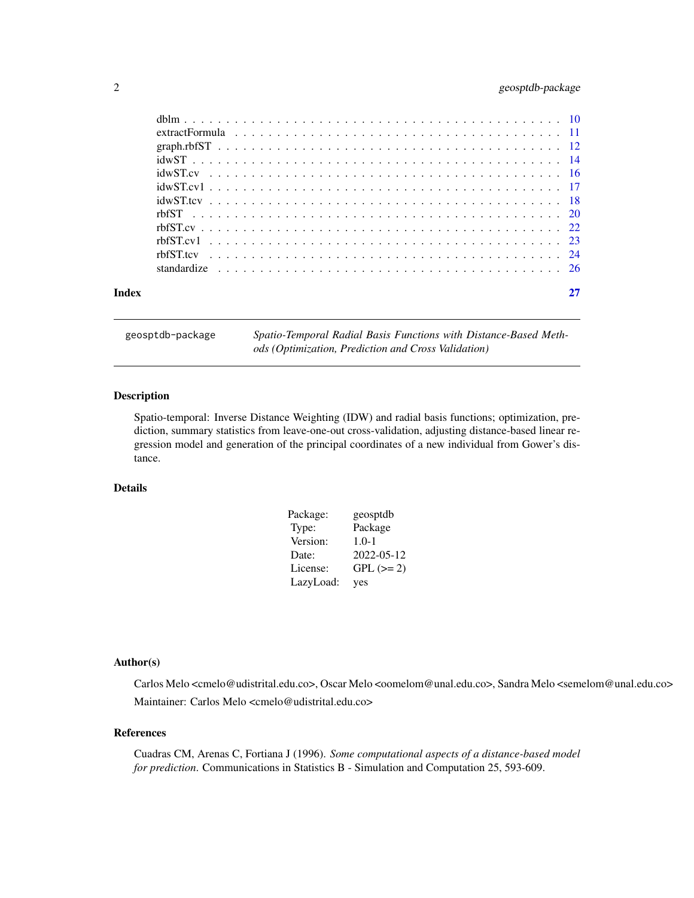# <span id="page-1-0"></span>2 geosptdb-package

| Index |  |
|-------|--|

geosptdb-package *Spatio-Temporal Radial Basis Functions with Distance-Based Methods (Optimization, Prediction and Cross Validation)*

# Description

Spatio-temporal: Inverse Distance Weighting (IDW) and radial basis functions; optimization, prediction, summary statistics from leave-one-out cross-validation, adjusting distance-based linear regression model and generation of the principal coordinates of a new individual from Gower's distance.

# Details

| Package:  | geosptdb    |
|-----------|-------------|
| Type:     | Package     |
| Version:  | $1.0 - 1$   |
| Date:     | 2022-05-12  |
| License:  | $GPL (= 2)$ |
| LazyLoad: | yes         |

# Author(s)

Carlos Melo <cmelo@udistrital.edu.co>, Oscar Melo <oomelom@unal.edu.co>, Sandra Melo <semelom@unal.edu.co> Maintainer: Carlos Melo <cmelo@udistrital.edu.co>

#### References

Cuadras CM, Arenas C, Fortiana J (1996). *Some computational aspects of a distance-based model for prediction*. Communications in Statistics B - Simulation and Computation 25, 593-609.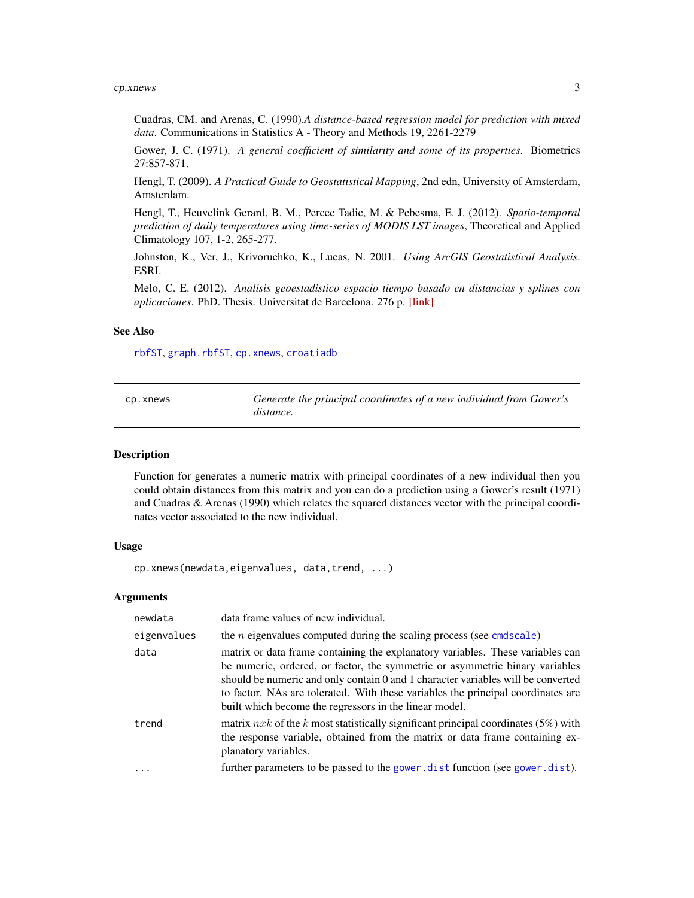#### <span id="page-2-0"></span> $cpxnews$  3

Cuadras, CM. and Arenas, C. (1990).*A distance-based regression model for prediction with mixed data*. Communications in Statistics A - Theory and Methods 19, 2261-2279

Gower, J. C. (1971). *A general coefficient of similarity and some of its properties*. Biometrics 27:857-871.

Hengl, T. (2009). *A Practical Guide to Geostatistical Mapping*, 2nd edn, University of Amsterdam, Amsterdam.

Hengl, T., Heuvelink Gerard, B. M., Percec Tadic, M. & Pebesma, E. J. (2012). *Spatio-temporal prediction of daily temperatures using time-series of MODIS LST images*, Theoretical and Applied Climatology 107, 1-2, 265-277.

Johnston, K., Ver, J., Krivoruchko, K., Lucas, N. 2001. *Using ArcGIS Geostatistical Analysis*. ESRI.

Melo, C. E. (2012). *Analisis geoestadistico espacio tiempo basado en distancias y splines con aplicaciones*. PhD. Thesis. Universitat de Barcelona. 276 p. [\[link\]](http://www.tdx.cat/bitstream/handle/10803/101202/CEMM_TESIS.pdf)

#### See Also

[rbfST](#page-19-1), [graph.rbfST](#page-11-1), [cp.xnews](#page-2-1), [croatiadb](#page-8-1)

<span id="page-2-1"></span>

| cp.xnews | Generate the principal coordinates of a new individual from Gower's |
|----------|---------------------------------------------------------------------|
|          | distance.                                                           |

#### Description

Function for generates a numeric matrix with principal coordinates of a new individual then you could obtain distances from this matrix and you can do a prediction using a Gower's result (1971) and Cuadras & Arenas (1990) which relates the squared distances vector with the principal coordinates vector associated to the new individual.

# Usage

cp.xnews(newdata,eigenvalues, data,trend, ...)

#### Arguments

| newdata     | data frame values of new individual.                                                                                                                                                                                                                                                                                                                                                             |
|-------------|--------------------------------------------------------------------------------------------------------------------------------------------------------------------------------------------------------------------------------------------------------------------------------------------------------------------------------------------------------------------------------------------------|
| eigenvalues | the <i>n</i> eigenvalues computed during the scaling process (see cmdscale)                                                                                                                                                                                                                                                                                                                      |
| data        | matrix or data frame containing the explanatory variables. These variables can<br>be numeric, ordered, or factor, the symmetric or asymmetric binary variables<br>should be numeric and only contain 0 and 1 character variables will be converted<br>to factor. NAs are tolerated. With these variables the principal coordinates are<br>built which become the regressors in the linear model. |
| trend       | matrix $nxk$ of the k most statistically significant principal coordinates (5%) with<br>the response variable, obtained from the matrix or data frame containing ex-<br>planatory variables.                                                                                                                                                                                                     |
| .           | further parameters to be passed to the gower.dist function (see gower.dist).                                                                                                                                                                                                                                                                                                                     |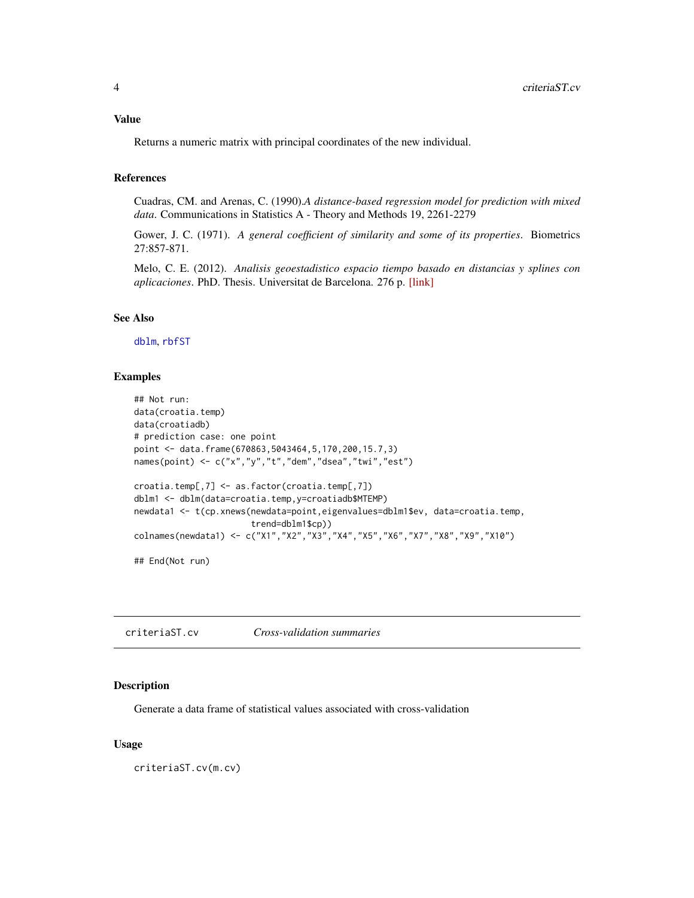#### <span id="page-3-0"></span>Value

Returns a numeric matrix with principal coordinates of the new individual.

# References

Cuadras, CM. and Arenas, C. (1990).*A distance-based regression model for prediction with mixed data*. Communications in Statistics A - Theory and Methods 19, 2261-2279

Gower, J. C. (1971). *A general coefficient of similarity and some of its properties*. Biometrics 27:857-871.

Melo, C. E. (2012). *Analisis geoestadistico espacio tiempo basado en distancias y splines con aplicaciones*. PhD. Thesis. Universitat de Barcelona. 276 p. [\[link\]](http://www.tdx.cat/bitstream/handle/10803/101202/CEMM_TESIS.pdf)

# See Also

[dblm](#page-9-1), [rbfST](#page-19-1)

#### Examples

```
## Not run:
data(croatia.temp)
data(croatiadb)
# prediction case: one point
point <- data.frame(670863,5043464,5,170,200,15.7,3)
names(point) <- c("x","y","t","dem","dsea","twi","est")
croatia.temp[,7] <- as.factor(croatia.temp[,7])
dblm1 <- dblm(data=croatia.temp,y=croatiadb$MTEMP)
newdata1 <- t(cp.xnews(newdata=point,eigenvalues=dblm1$ev, data=croatia.temp,
                       trend=dblm1$cp))
colnames(newdata1) <- c("X1","X2","X3","X4","X5","X6","X7","X8","X9","X10")
```
## End(Not run)

criteriaST.cv *Cross-validation summaries*

# Description

Generate a data frame of statistical values associated with cross-validation

#### Usage

criteriaST.cv(m.cv)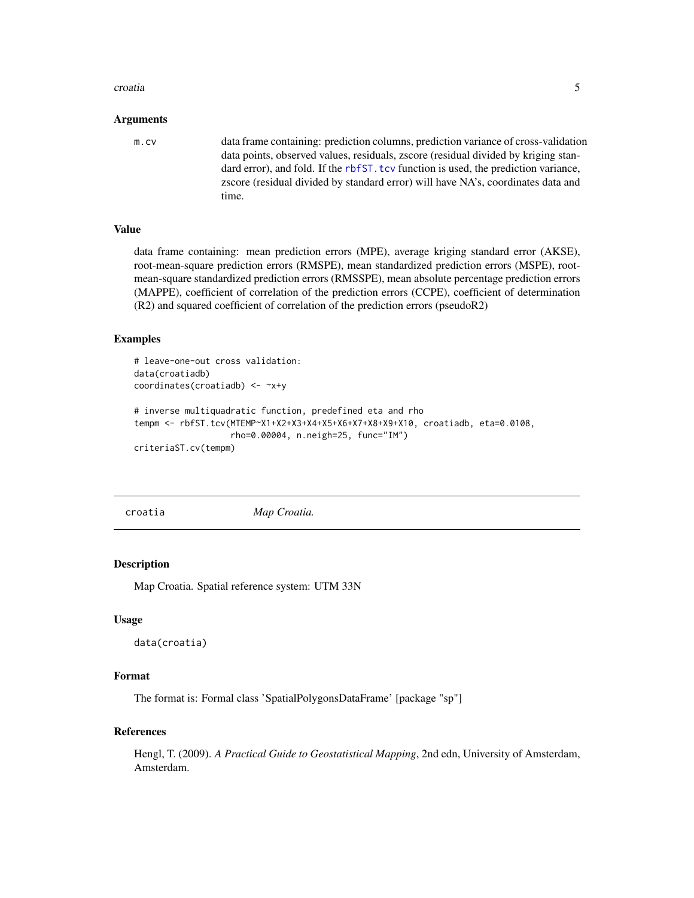#### <span id="page-4-0"></span>croatia **5**

#### Arguments

m.cv data frame containing: prediction columns, prediction variance of cross-validation data points, observed values, residuals, zscore (residual divided by kriging standard error), and fold. If the [rbfST.tcv](#page-23-1) function is used, the prediction variance, zscore (residual divided by standard error) will have NA's, coordinates data and time.

# Value

data frame containing: mean prediction errors (MPE), average kriging standard error (AKSE), root-mean-square prediction errors (RMSPE), mean standardized prediction errors (MSPE), rootmean-square standardized prediction errors (RMSSPE), mean absolute percentage prediction errors (MAPPE), coefficient of correlation of the prediction errors (CCPE), coefficient of determination (R2) and squared coefficient of correlation of the prediction errors (pseudoR2)

#### Examples

```
# leave-one-out cross validation:
data(croatiadb)
coordinates(croatiadb) <- ~x+y
# inverse multiquadratic function, predefined eta and rho
tempm <- rbfST.tcv(MTEMP~X1+X2+X3+X4+X5+X6+X7+X8+X9+X10, croatiadb, eta=0.0108,
                   rho=0.00004, n.neigh=25, func="IM")
criteriaST.cv(tempm)
```
croatia *Map Croatia.*

#### Description

Map Croatia. Spatial reference system: UTM 33N

#### Usage

```
data(croatia)
```
#### Format

The format is: Formal class 'SpatialPolygonsDataFrame' [package "sp"]

#### References

Hengl, T. (2009). *A Practical Guide to Geostatistical Mapping*, 2nd edn, University of Amsterdam, Amsterdam.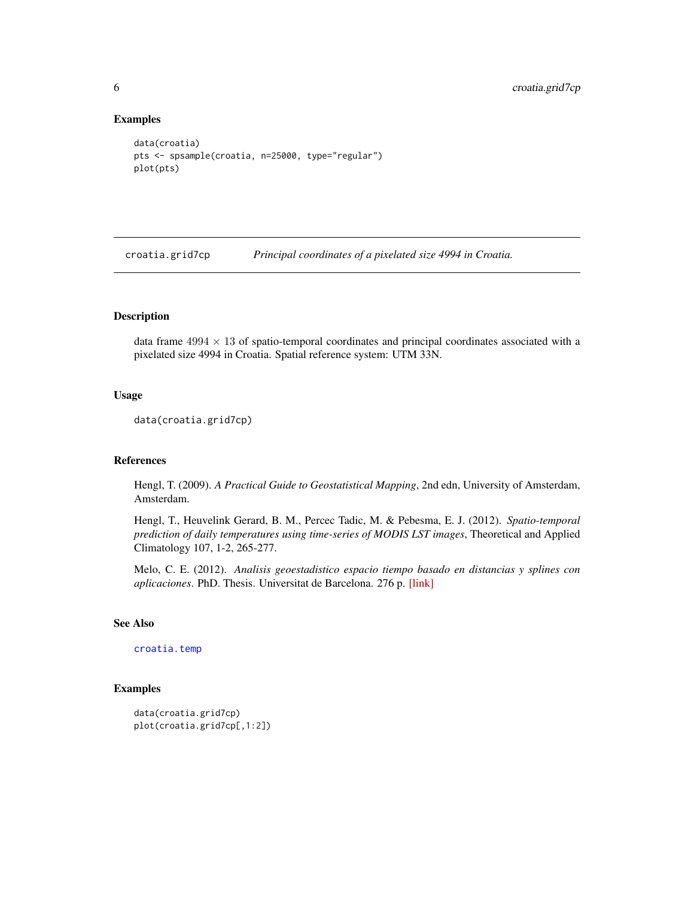#### Examples

```
data(croatia)
pts <- spsample(croatia, n=25000, type="regular")
plot(pts)
```
<span id="page-5-1"></span>croatia.grid7cp *Principal coordinates of a pixelated size 4994 in Croatia.*

# Description

data frame  $4994 \times 13$  of spatio-temporal coordinates and principal coordinates associated with a pixelated size 4994 in Croatia. Spatial reference system: UTM 33N.

#### Usage

```
data(croatia.grid7cp)
```
# References

Hengl, T. (2009). *A Practical Guide to Geostatistical Mapping*, 2nd edn, University of Amsterdam, Amsterdam.

Hengl, T., Heuvelink Gerard, B. M., Percec Tadic, M. & Pebesma, E. J. (2012). *Spatio-temporal prediction of daily temperatures using time-series of MODIS LST images*, Theoretical and Applied Climatology 107, 1-2, 265-277.

Melo, C. E. (2012). *Analisis geoestadistico espacio tiempo basado en distancias y splines con aplicaciones*. PhD. Thesis. Universitat de Barcelona. 276 p. [\[link\]](http://www.tdx.cat/bitstream/handle/10803/101202/CEMM_TESIS.pdf)

# See Also

[croatia.temp](#page-6-1)

```
data(croatia.grid7cp)
plot(croatia.grid7cp[,1:2])
```
<span id="page-5-0"></span>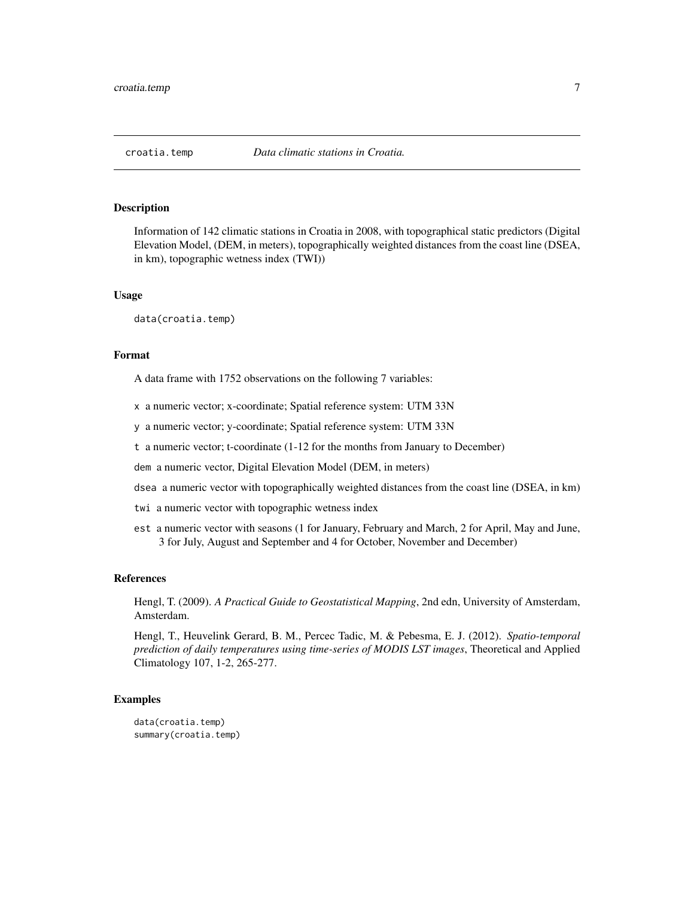<span id="page-6-1"></span><span id="page-6-0"></span>

Information of 142 climatic stations in Croatia in 2008, with topographical static predictors (Digital Elevation Model, (DEM, in meters), topographically weighted distances from the coast line (DSEA, in km), topographic wetness index (TWI))

#### Usage

data(croatia.temp)

#### Format

A data frame with 1752 observations on the following 7 variables:

- x a numeric vector; x-coordinate; Spatial reference system: UTM 33N
- y a numeric vector; y-coordinate; Spatial reference system: UTM 33N
- t a numeric vector; t-coordinate (1-12 for the months from January to December)
- dem a numeric vector, Digital Elevation Model (DEM, in meters)
- dsea a numeric vector with topographically weighted distances from the coast line (DSEA, in km)
- twi a numeric vector with topographic wetness index
- est a numeric vector with seasons (1 for January, February and March, 2 for April, May and June, 3 for July, August and September and 4 for October, November and December)

# References

Hengl, T. (2009). *A Practical Guide to Geostatistical Mapping*, 2nd edn, University of Amsterdam, Amsterdam.

Hengl, T., Heuvelink Gerard, B. M., Percec Tadic, M. & Pebesma, E. J. (2012). *Spatio-temporal prediction of daily temperatures using time-series of MODIS LST images*, Theoretical and Applied Climatology 107, 1-2, 265-277.

```
data(croatia.temp)
summary(croatia.temp)
```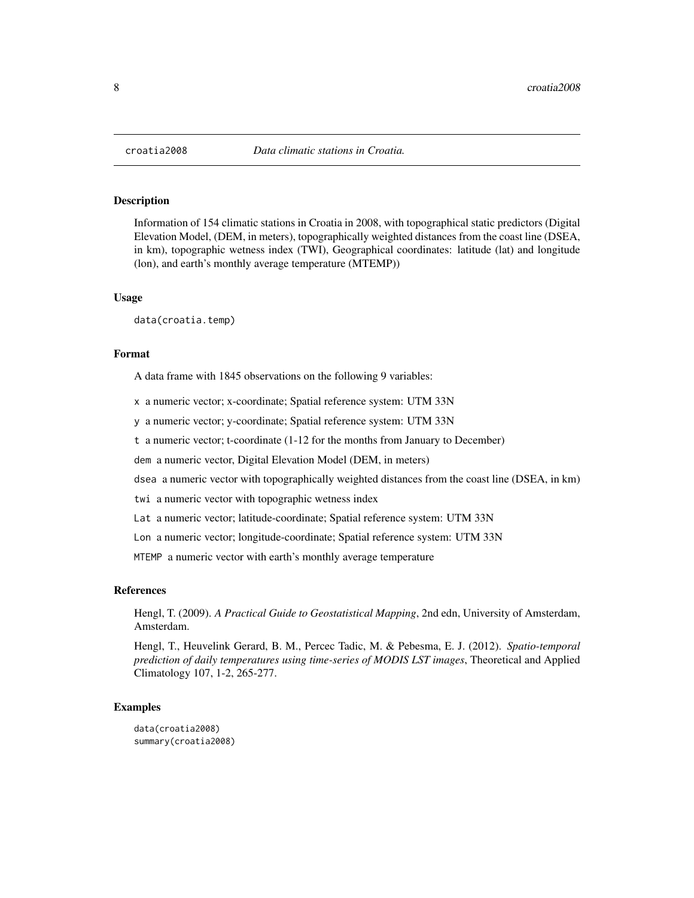<span id="page-7-0"></span>Information of 154 climatic stations in Croatia in 2008, with topographical static predictors (Digital Elevation Model, (DEM, in meters), topographically weighted distances from the coast line (DSEA, in km), topographic wetness index (TWI), Geographical coordinates: latitude (lat) and longitude (lon), and earth's monthly average temperature (MTEMP))

#### Usage

data(croatia.temp)

#### Format

A data frame with 1845 observations on the following 9 variables:

x a numeric vector; x-coordinate; Spatial reference system: UTM 33N

y a numeric vector; y-coordinate; Spatial reference system: UTM 33N

t a numeric vector; t-coordinate (1-12 for the months from January to December)

dem a numeric vector, Digital Elevation Model (DEM, in meters)

dsea a numeric vector with topographically weighted distances from the coast line (DSEA, in km)

- twi a numeric vector with topographic wetness index
- Lat a numeric vector; latitude-coordinate; Spatial reference system: UTM 33N

Lon a numeric vector; longitude-coordinate; Spatial reference system: UTM 33N

MTEMP a numeric vector with earth's monthly average temperature

#### References

Hengl, T. (2009). *A Practical Guide to Geostatistical Mapping*, 2nd edn, University of Amsterdam, Amsterdam.

Hengl, T., Heuvelink Gerard, B. M., Percec Tadic, M. & Pebesma, E. J. (2012). *Spatio-temporal prediction of daily temperatures using time-series of MODIS LST images*, Theoretical and Applied Climatology 107, 1-2, 265-277.

#### Examples

data(croatia2008) summary(croatia2008)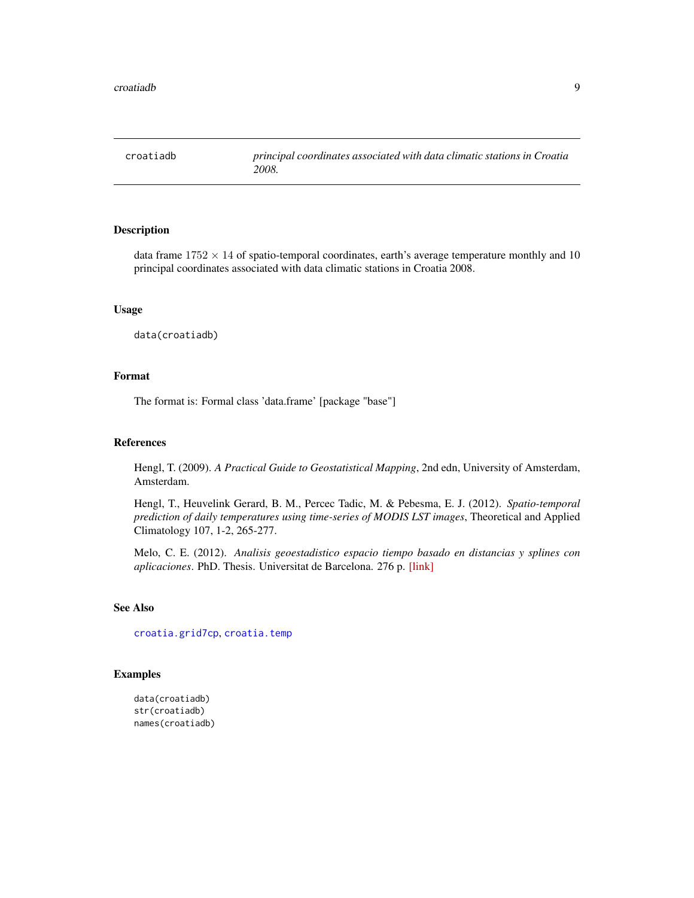<span id="page-8-1"></span><span id="page-8-0"></span>

data frame  $1752 \times 14$  of spatio-temporal coordinates, earth's average temperature monthly and 10 principal coordinates associated with data climatic stations in Croatia 2008.

#### Usage

data(croatiadb)

#### Format

The format is: Formal class 'data.frame' [package "base"]

# References

Hengl, T. (2009). *A Practical Guide to Geostatistical Mapping*, 2nd edn, University of Amsterdam, Amsterdam.

Hengl, T., Heuvelink Gerard, B. M., Percec Tadic, M. & Pebesma, E. J. (2012). *Spatio-temporal prediction of daily temperatures using time-series of MODIS LST images*, Theoretical and Applied Climatology 107, 1-2, 265-277.

Melo, C. E. (2012). *Analisis geoestadistico espacio tiempo basado en distancias y splines con aplicaciones*. PhD. Thesis. Universitat de Barcelona. 276 p. [\[link\]](http://www.tdx.cat/bitstream/handle/10803/101202/CEMM_TESIS.pdf)

#### See Also

[croatia.grid7cp](#page-5-1), [croatia.temp](#page-6-1)

```
data(croatiadb)
str(croatiadb)
names(croatiadb)
```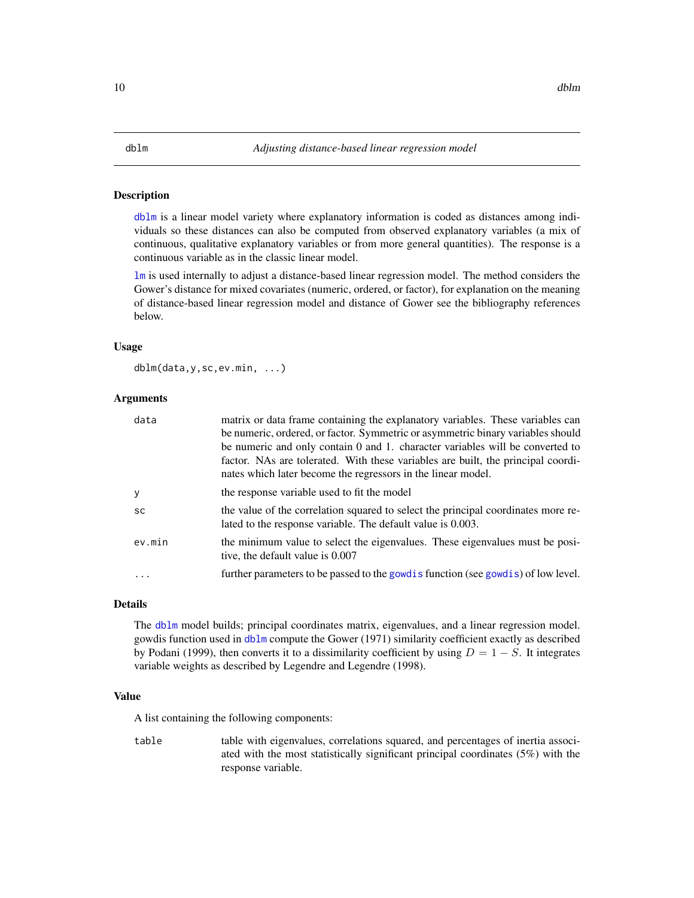<span id="page-9-1"></span><span id="page-9-0"></span>[dblm](#page-9-1) is a linear model variety where explanatory information is coded as distances among individuals so these distances can also be computed from observed explanatory variables (a mix of continuous, qualitative explanatory variables or from more general quantities). The response is a continuous variable as in the classic linear model.

[lm](#page-0-0) is used internally to adjust a distance-based linear regression model. The method considers the Gower's distance for mixed covariates (numeric, ordered, or factor), for explanation on the meaning of distance-based linear regression model and distance of Gower see the bibliography references below.

#### Usage

dblm(data,y,sc,ev.min, ...)

# Arguments

| data      | matrix or data frame containing the explanatory variables. These variables can                                                                                                                                                    |
|-----------|-----------------------------------------------------------------------------------------------------------------------------------------------------------------------------------------------------------------------------------|
|           | be numeric, ordered, or factor. Symmetric or asymmetric binary variables should                                                                                                                                                   |
|           | be numeric and only contain 0 and 1. character variables will be converted to<br>factor. NAs are tolerated. With these variables are built, the principal coordi-<br>nates which later become the regressors in the linear model. |
| y         | the response variable used to fit the model                                                                                                                                                                                       |
| <b>SC</b> | the value of the correlation squared to select the principal coordinates more re-<br>lated to the response variable. The default value is 0.003.                                                                                  |
| ev.min    | the minimum value to select the eigenvalues. These eigenvalues must be posi-<br>tive, the default value is 0.007                                                                                                                  |
|           | further parameters to be passed to the gowd is function (see gowd is) of low level.                                                                                                                                               |

# Details

The [dblm](#page-9-1) model builds; principal coordinates matrix, eigenvalues, and a linear regression model. gowdis function used in [dblm](#page-9-1) compute the Gower (1971) similarity coefficient exactly as described by Podani (1999), then converts it to a dissimilarity coefficient by using  $D = 1 - S$ . It integrates variable weights as described by Legendre and Legendre (1998).

### Value

A list containing the following components:

table table with eigenvalues, correlations squared, and percentages of inertia associated with the most statistically significant principal coordinates (5%) with the response variable.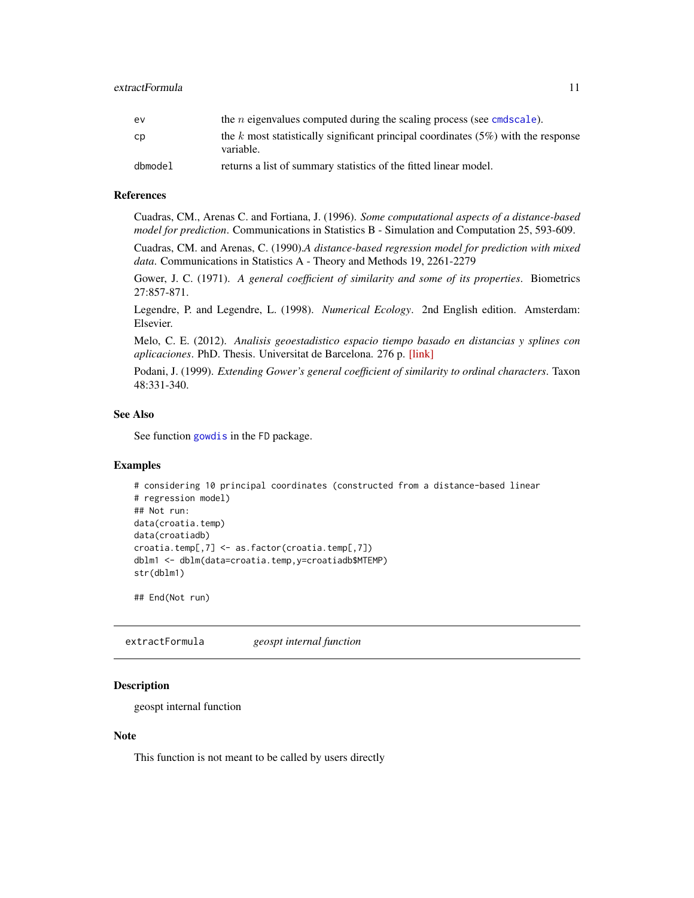<span id="page-10-0"></span>

| ev      | the <i>n</i> eigenvalues computed during the scaling process (see cmdscale).                      |
|---------|---------------------------------------------------------------------------------------------------|
| cp      | the k most statistically significant principal coordinates $(5\%)$ with the response<br>variable. |
| dbmodel | returns a list of summary statistics of the fitted linear model.                                  |

#### References

Cuadras, CM., Arenas C. and Fortiana, J. (1996). *Some computational aspects of a distance-based model for prediction*. Communications in Statistics B - Simulation and Computation 25, 593-609.

Cuadras, CM. and Arenas, C. (1990).*A distance-based regression model for prediction with mixed data*. Communications in Statistics A - Theory and Methods 19, 2261-2279

Gower, J. C. (1971). *A general coefficient of similarity and some of its properties*. Biometrics 27:857-871.

Legendre, P. and Legendre, L. (1998). *Numerical Ecology*. 2nd English edition. Amsterdam: Elsevier.

Melo, C. E. (2012). *Analisis geoestadistico espacio tiempo basado en distancias y splines con aplicaciones*. PhD. Thesis. Universitat de Barcelona. 276 p. [\[link\]](http://www.tdx.cat/bitstream/handle/10803/101202/CEMM_TESIS.pdf)

Podani, J. (1999). *Extending Gower's general coefficient of similarity to ordinal characters*. Taxon 48:331-340.

# See Also

See function [gowdis](#page-0-0) in the FD package.

# Examples

```
# considering 10 principal coordinates (constructed from a distance-based linear
# regression model)
## Not run:
data(croatia.temp)
data(croatiadb)
croatia.temp[,7] <- as.factor(croatia.temp[,7])
dblm1 <- dblm(data=croatia.temp,y=croatiadb$MTEMP)
str(dblm1)
```
## End(Not run)

extractFormula *geospt internal function*

#### Description

geospt internal function

#### Note

This function is not meant to be called by users directly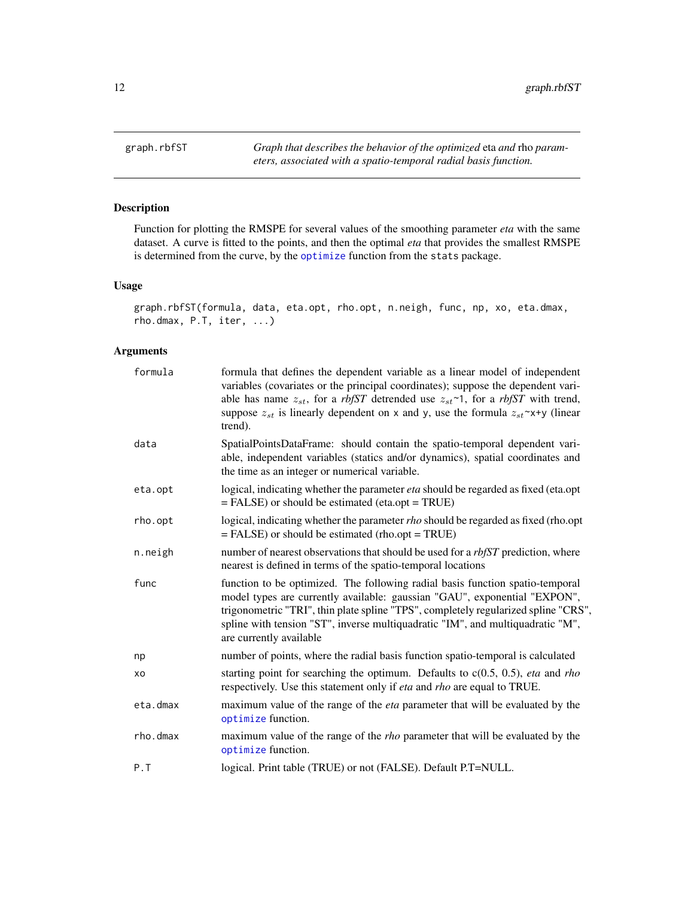<span id="page-11-1"></span><span id="page-11-0"></span>graph.rbfST *Graph that describes the behavior of the optimized* eta *and* rho *parameters, associated with a spatio-temporal radial basis function.*

# Description

Function for plotting the RMSPE for several values of the smoothing parameter *eta* with the same dataset. A curve is fitted to the points, and then the optimal *eta* that provides the smallest RMSPE is determined from the curve, by the [optimize](#page-0-0) function from the stats package.

# Usage

```
graph.rbfST(formula, data, eta.opt, rho.opt, n.neigh, func, np, xo, eta.dmax,
rho.dmax, P.T, iter, ...)
```
# Arguments

| formula  | formula that defines the dependent variable as a linear model of independent<br>variables (covariates or the principal coordinates); suppose the dependent vari-<br>able has name $z_{st}$ , for a rbfST detrended use $z_{st}$ ~1, for a rbfST with trend,<br>suppose $z_{st}$ is linearly dependent on x and y, use the formula $z_{st} \sim x+y$ (linear<br>trend). |
|----------|------------------------------------------------------------------------------------------------------------------------------------------------------------------------------------------------------------------------------------------------------------------------------------------------------------------------------------------------------------------------|
| data     | SpatialPointsDataFrame: should contain the spatio-temporal dependent vari-<br>able, independent variables (statics and/or dynamics), spatial coordinates and<br>the time as an integer or numerical variable.                                                                                                                                                          |
| eta.opt  | logical, indicating whether the parameter <i>eta</i> should be regarded as fixed (eta.opt)<br>$=$ FALSE) or should be estimated (eta.opt = TRUE)                                                                                                                                                                                                                       |
| rho.opt  | logical, indicating whether the parameter <i>rho</i> should be regarded as fixed (rho.opt<br>$=$ FALSE) or should be estimated (rho.opt = TRUE)                                                                                                                                                                                                                        |
| n.neigh  | number of nearest observations that should be used for a <i>rbfST</i> prediction, where<br>nearest is defined in terms of the spatio-temporal locations                                                                                                                                                                                                                |
| func     | function to be optimized. The following radial basis function spatio-temporal<br>model types are currently available: gaussian "GAU", exponential "EXPON",<br>trigonometric "TRI", thin plate spline "TPS", completely regularized spline "CRS",<br>spline with tension "ST", inverse multiquadratic "IM", and multiquadratic "M",<br>are currently available          |
| np       | number of points, where the radial basis function spatio-temporal is calculated                                                                                                                                                                                                                                                                                        |
| xo       | starting point for searching the optimum. Defaults to $c(0.5, 0.5)$ , <i>eta</i> and <i>rho</i><br>respectively. Use this statement only if <i>eta</i> and <i>rho</i> are equal to TRUE.                                                                                                                                                                               |
| eta.dmax | maximum value of the range of the <i>eta</i> parameter that will be evaluated by the<br>optimize function.                                                                                                                                                                                                                                                             |
| rho.dmax | maximum value of the range of the <i>rho</i> parameter that will be evaluated by the<br>optimize function.                                                                                                                                                                                                                                                             |
| P.T      | logical. Print table (TRUE) or not (FALSE). Default P.T=NULL.                                                                                                                                                                                                                                                                                                          |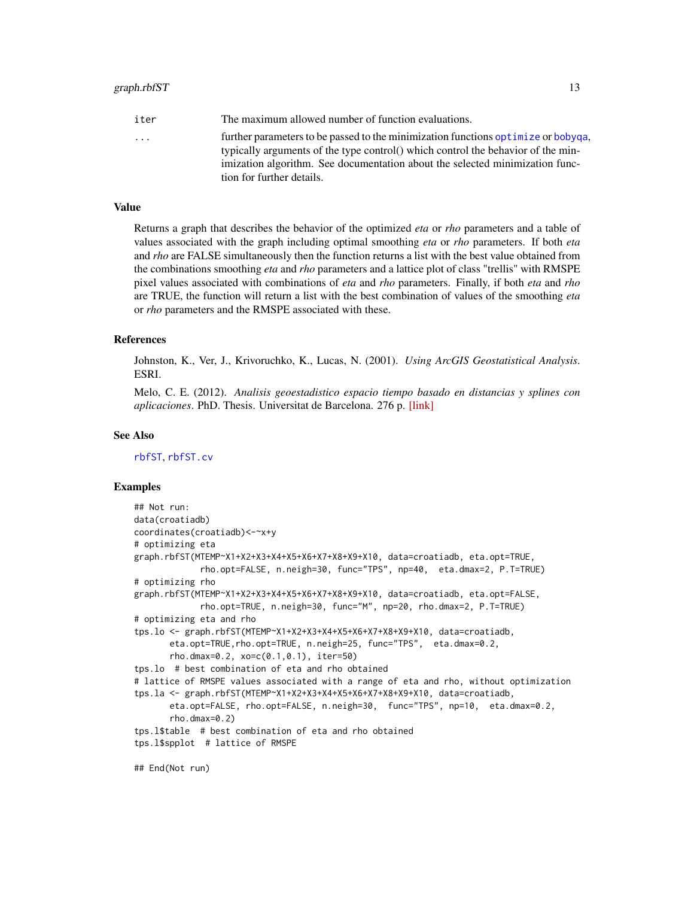#### <span id="page-12-0"></span>graph.rbfST 13

| iter | The maximum allowed number of function evaluations.                               |
|------|-----------------------------------------------------------------------------------|
| .    | further parameters to be passed to the minimization functions optimize or bobyga, |
|      | typically arguments of the type control() which control the behavior of the min-  |
|      | imization algorithm. See documentation about the selected minimization func-      |
|      | tion for further details.                                                         |
|      |                                                                                   |

### Value

Returns a graph that describes the behavior of the optimized *eta* or *rho* parameters and a table of values associated with the graph including optimal smoothing *eta* or *rho* parameters. If both *eta* and *rho* are FALSE simultaneously then the function returns a list with the best value obtained from the combinations smoothing *eta* and *rho* parameters and a lattice plot of class "trellis" with RMSPE pixel values associated with combinations of *eta* and *rho* parameters. Finally, if both *eta* and *rho* are TRUE, the function will return a list with the best combination of values of the smoothing *eta* or *rho* parameters and the RMSPE associated with these.

#### References

Johnston, K., Ver, J., Krivoruchko, K., Lucas, N. (2001). *Using ArcGIS Geostatistical Analysis*. ESRI.

Melo, C. E. (2012). *Analisis geoestadistico espacio tiempo basado en distancias y splines con aplicaciones*. PhD. Thesis. Universitat de Barcelona. 276 p. [\[link\]](http://www.tdx.cat/bitstream/handle/10803/101202/CEMM_TESIS.pdf)

#### See Also

[rbfST](#page-19-1), [rbfST.cv](#page-21-1)

```
## Not run:
data(croatiadb)
coordinates(croatiadb)<-~x+y
# optimizing eta
graph.rbfST(MTEMP~X1+X2+X3+X4+X5+X6+X7+X8+X9+X10, data=croatiadb, eta.opt=TRUE,
            rho.opt=FALSE, n.neigh=30, func="TPS", np=40, eta.dmax=2, P.T=TRUE)
# optimizing rho
graph.rbfST(MTEMP~X1+X2+X3+X4+X5+X6+X7+X8+X9+X10, data=croatiadb, eta.opt=FALSE,
            rho.opt=TRUE, n.neigh=30, func="M", np=20, rho.dmax=2, P.T=TRUE)
# optimizing eta and rho
tps.lo <- graph.rbfST(MTEMP~X1+X2+X3+X4+X5+X6+X7+X8+X9+X10, data=croatiadb,
      eta.opt=TRUE,rho.opt=TRUE, n.neigh=25, func="TPS", eta.dmax=0.2,
      rho.dmax=0.2, xo=c(0.1,0.1), iter=50)
tps.lo # best combination of eta and rho obtained
# lattice of RMSPE values associated with a range of eta and rho, without optimization
tps.la <- graph.rbfST(MTEMP~X1+X2+X3+X4+X5+X6+X7+X8+X9+X10, data=croatiadb,
      eta.opt=FALSE, rho.opt=FALSE, n.neigh=30, func="TPS", np=10, eta.dmax=0.2,
      rho.dmax=0.2)
tps.l$table # best combination of eta and rho obtained
tps.l$spplot # lattice of RMSPE
## End(Not run)
```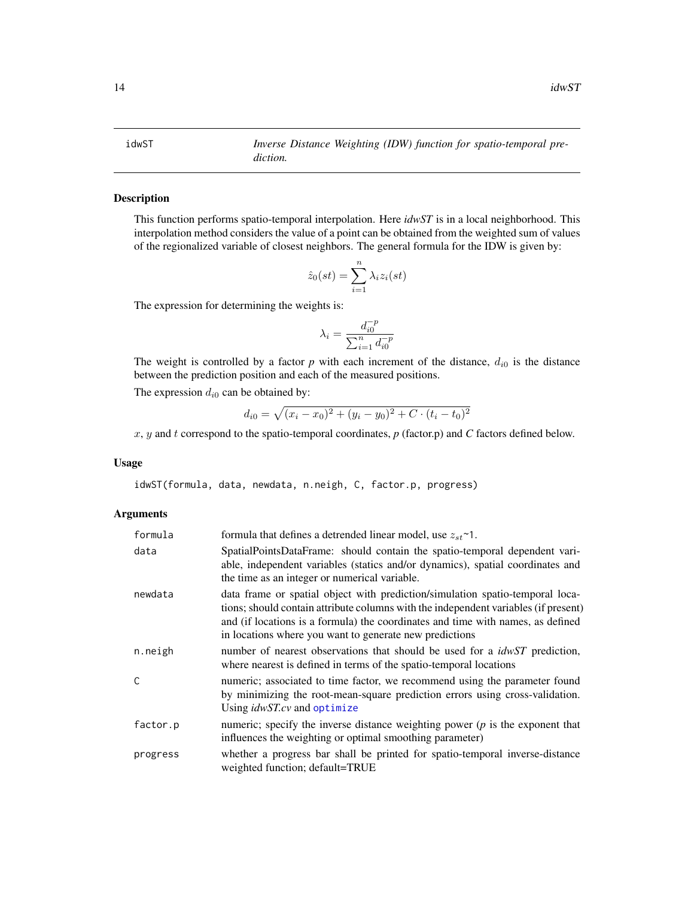#### <span id="page-13-1"></span><span id="page-13-0"></span>idwST *Inverse Distance Weighting (IDW) function for spatio-temporal prediction.*

## Description

This function performs spatio-temporal interpolation. Here *idwST* is in a local neighborhood. This interpolation method considers the value of a point can be obtained from the weighted sum of values of the regionalized variable of closest neighbors. The general formula for the IDW is given by:

$$
\hat{z}_0(st) = \sum_{i=1}^n \lambda_i z_i(st)
$$

The expression for determining the weights is:

$$
\lambda_i = \frac{d_{i0}^{-p}}{\sum_{i=1}^n d_{i0}^{-p}}
$$

The weight is controlled by a factor  $p$  with each increment of the distance,  $d_{i0}$  is the distance between the prediction position and each of the measured positions.

The expression  $d_{i0}$  can be obtained by:

$$
d_{i0} = \sqrt{(x_i - x_0)^2 + (y_i - y_0)^2 + C \cdot (t_i - t_0)^2}
$$

x, y and t correspond to the spatio-temporal coordinates, *p* (factor.p) and *C* factors defined below.

#### Usage

idwST(formula, data, newdata, n.neigh, C, factor.p, progress)

#### Arguments

| formula  | formula that defines a detrended linear model, use $z_{st}$ <sup>~1</sup> .                                                                                                                                                                                                                                        |
|----------|--------------------------------------------------------------------------------------------------------------------------------------------------------------------------------------------------------------------------------------------------------------------------------------------------------------------|
| data     | SpatialPointsDataFrame: should contain the spatio-temporal dependent vari-<br>able, independent variables (statics and/or dynamics), spatial coordinates and<br>the time as an integer or numerical variable.                                                                                                      |
| newdata  | data frame or spatial object with prediction/simulation spatio-temporal loca-<br>tions; should contain attribute columns with the independent variables (if present)<br>and (if locations is a formula) the coordinates and time with names, as defined<br>in locations where you want to generate new predictions |
| n.neigh  | number of nearest observations that should be used for a <i>idwST</i> prediction,<br>where nearest is defined in terms of the spatio-temporal locations                                                                                                                                                            |
| C        | numeric; associated to time factor, we recommend using the parameter found<br>by minimizing the root-mean-square prediction errors using cross-validation.<br>Using <i>idwST.cv</i> and optimize                                                                                                                   |
| factor.p | numeric; specify the inverse distance weighting power $(p)$ is the exponent that<br>influences the weighting or optimal smoothing parameter)                                                                                                                                                                       |
| progress | whether a progress bar shall be printed for spatio-temporal inverse-distance<br>weighted function; default=TRUE                                                                                                                                                                                                    |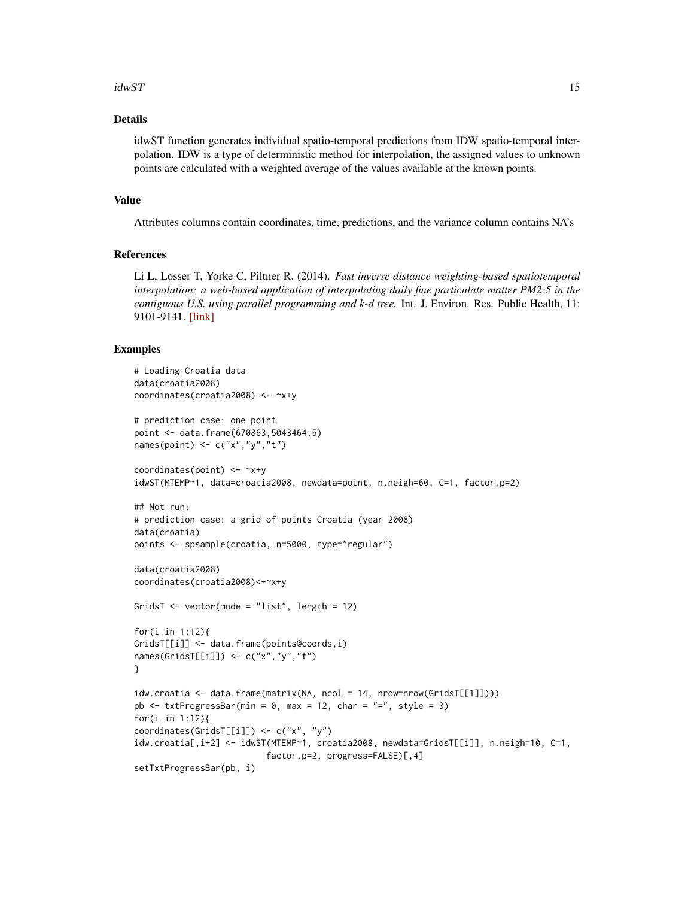#### $idwST$  15

# Details

idwST function generates individual spatio-temporal predictions from IDW spatio-temporal interpolation. IDW is a type of deterministic method for interpolation, the assigned values to unknown points are calculated with a weighted average of the values available at the known points.

#### Value

Attributes columns contain coordinates, time, predictions, and the variance column contains NA's

# References

Li L, Losser T, Yorke C, Piltner R. (2014). *Fast inverse distance weighting-based spatiotemporal interpolation: a web-based application of interpolating daily fine particulate matter PM2:5 in the contiguous U.S. using parallel programming and k-d tree.* Int. J. Environ. Res. Public Health, 11: 9101-9141. [\[link\]](https://www.mdpi.com/journal/ijerph)

```
# Loading Croatia data
data(croatia2008)
coordinates(croatia2008) <- ~x+y
# prediction case: one point
point <- data.frame(670863,5043464,5)
names(point) \leq c("x","y","t")
coordinates(point) <- ~x+y
idwST(MTEMP~1, data=croatia2008, newdata=point, n.neigh=60, C=1, factor.p=2)
## Not run:
# prediction case: a grid of points Croatia (year 2008)
data(croatia)
points <- spsample(croatia, n=5000, type="regular")
data(croatia2008)
coordinates(croatia2008)<-~x+y
GridsT <- vector(mode = "list", length = 12)
for(i in 1:12){
GridsT[[i]] <- data.frame(points@coords,i)
names(GridsT[[i]]) <- c("x","y","t")
}
idw.croatia <- data.frame(matrix(NA, ncol = 14, nrow=nrow(GridsT[[1]])))
pb \le txtProgressBar(min = 0, max = 12, char = "=", style = 3)
for(i in 1:12){
coordinates(GridsT[[i]]) <- c("x", "y")
idw.croatia[,i+2] <- idwST(MTEMP~1, croatia2008, newdata=GridsT[[i]], n.neigh=10, C=1,
                          factor.p=2, progress=FALSE)[,4]
setTxtProgressBar(pb, i)
```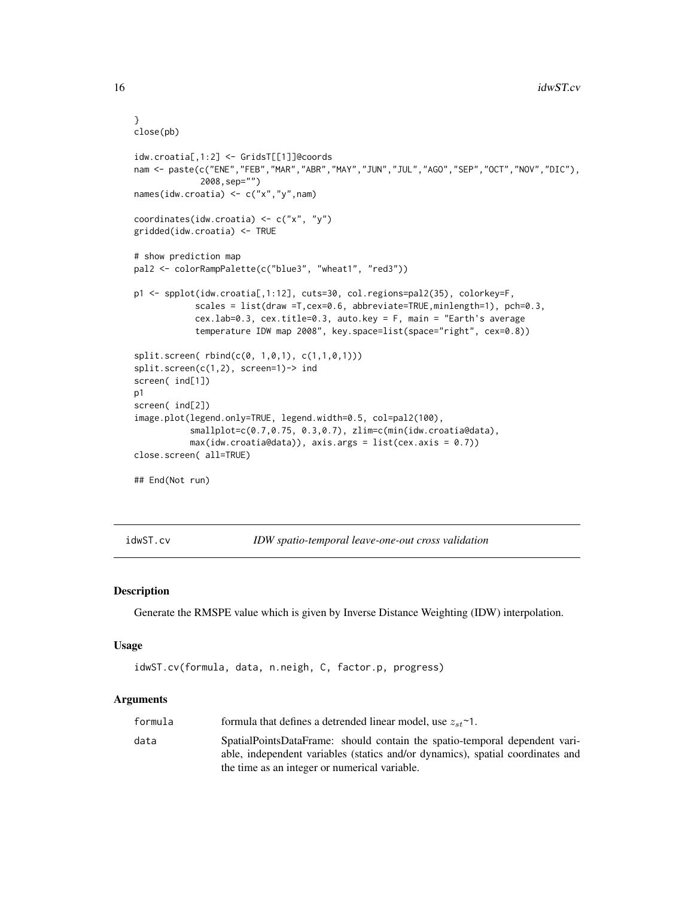```
}
close(pb)
idw.croatia[,1:2] <- GridsT[[1]]@coords
nam <- paste(c("ENE","FEB","MAR","ABR","MAY","JUN","JUL","AGO","SEP","OCT","NOV","DIC"),
            2008,sep="")
names(idw.croatia) <- c("x","y",nam)
coordinates(idw.croatia) <- c("x", "y")
gridded(idw.croatia) <- TRUE
# show prediction map
pal2 <- colorRampPalette(c("blue3", "wheat1", "red3"))
p1 <- spplot(idw.croatia[,1:12], cuts=30, col.regions=pal2(35), colorkey=F,
            scales = list(draw =T,cex=0.6, abbreviate=TRUE,minlength=1), pch=0.3,
            cex.lab=0.3, cex.title=0.3, auto.key = F, main = "Earth's average
            temperature IDW map 2008", key.space=list(space="right", cex=0.8))
split.screen( rbind(c(0, 1,0,1), c(1,1,0,1)))
split.screen(c(1,2), screen=1)-> ind
screen( ind[1])
p1
screen( ind[2])
image.plot(legend.only=TRUE, legend.width=0.5, col=pal2(100),
           smallplot=c(0.7,0.75, 0.3,0.7), zlim=c(min(idw.croatia@data),
           max(idw.croatia@data)), axis.args = list(cex.axis = 0.7))
close.screen( all=TRUE)
## End(Not run)
```
<span id="page-15-1"></span>idwST.cv *IDW spatio-temporal leave-one-out cross validation*

#### Description

Generate the RMSPE value which is given by Inverse Distance Weighting (IDW) interpolation.

#### Usage

```
idwST.cv(formula, data, n.neigh, C, factor.p, progress)
```
# Arguments

| formula | formula that defines a detrended linear model, use $z_{st}$ <sup><math>\sim</math></sup> 1.                                                                                                                   |
|---------|---------------------------------------------------------------------------------------------------------------------------------------------------------------------------------------------------------------|
| data    | SpatialPointsDataFrame: should contain the spatio-temporal dependent vari-<br>able, independent variables (statics and/or dynamics), spatial coordinates and<br>the time as an integer or numerical variable. |
|         |                                                                                                                                                                                                               |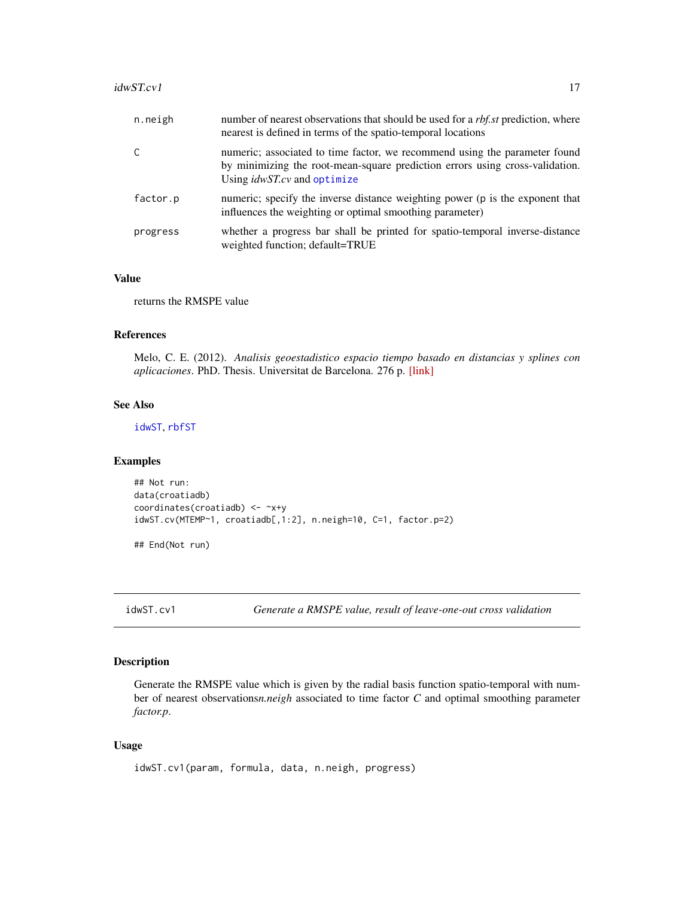#### <span id="page-16-0"></span> $idwSTcv1$  17

| n.neigh  | number of nearest observations that should be used for a <i>rbf.st</i> prediction, where<br>nearest is defined in terms of the spatio-temporal locations                                         |
|----------|--------------------------------------------------------------------------------------------------------------------------------------------------------------------------------------------------|
| C        | numeric; associated to time factor, we recommend using the parameter found<br>by minimizing the root-mean-square prediction errors using cross-validation.<br>Using <i>idwST.cv</i> and optimize |
| factor.p | numeric; specify the inverse distance weighting power (p is the exponent that<br>influences the weighting or optimal smoothing parameter)                                                        |
| progress | whether a progress bar shall be printed for spatio-temporal inverse-distance<br>weighted function; default=TRUE                                                                                  |

#### Value

returns the RMSPE value

#### References

Melo, C. E. (2012). *Analisis geoestadistico espacio tiempo basado en distancias y splines con aplicaciones*. PhD. Thesis. Universitat de Barcelona. 276 p. [\[link\]](http://www.tdx.cat/bitstream/handle/10803/101202/CEMM_TESIS.pdf)

# See Also

[idwST](#page-13-1), [rbfST](#page-19-1)

### Examples

```
## Not run:
data(croatiadb)
coordinates(croatiadb) <- ~x+y
idwST.cv(MTEMP~1, croatiadb[,1:2], n.neigh=10, C=1, factor.p=2)
```
## End(Not run)

idwST.cv1 *Generate a RMSPE value, result of leave-one-out cross validation*

# Description

Generate the RMSPE value which is given by the radial basis function spatio-temporal with number of nearest observations*n.neigh* associated to time factor *C* and optimal smoothing parameter *factor.p*.

#### Usage

```
idwST.cv1(param, formula, data, n.neigh, progress)
```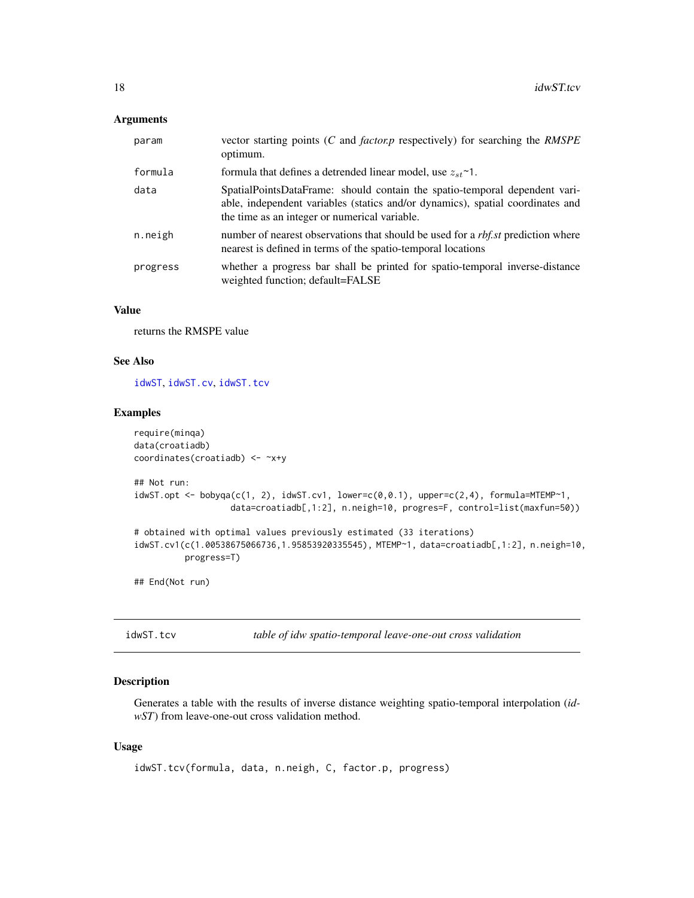#### <span id="page-17-0"></span>Arguments

| param    | vector starting points (C and <i>factor, p</i> respectively) for searching the <i>RMSPE</i><br>optimum.                                                                                                       |
|----------|---------------------------------------------------------------------------------------------------------------------------------------------------------------------------------------------------------------|
| formula  | formula that defines a detrended linear model, use $z_{st}$ ~1.                                                                                                                                               |
| data     | SpatialPointsDataFrame: should contain the spatio-temporal dependent vari-<br>able, independent variables (statics and/or dynamics), spatial coordinates and<br>the time as an integer or numerical variable. |
| n.neigh  | number of nearest observations that should be used for a <i>rbf.st</i> prediction where<br>nearest is defined in terms of the spatio-temporal locations                                                       |
| progress | whether a progress bar shall be printed for spatio-temporal inverse-distance<br>weighted function; default=FALSE                                                                                              |

# Value

returns the RMSPE value

# See Also

[idwST](#page-13-1), [idwST.cv](#page-15-1), [idwST.tcv](#page-17-1)

# Examples

```
require(minqa)
data(croatiadb)
coordinates(croatiadb) <- ~x+y
## Not run:
idwST.opt \leftarrow bobyqa(c(1, 2), idwST.cv1, lower=c(0, 0.1), upper=c(2, 4), formula=MTEMP^{-1},data=croatiadb[,1:2], n.neigh=10, progres=F, control=list(maxfun=50))
# obtained with optimal values previously estimated (33 iterations)
idwST.cv1(c(1.00538675066736,1.95853920335545), MTEMP~1, data=croatiadb[,1:2], n.neigh=10,
          progress=T)
## End(Not run)
```
<span id="page-17-1"></span>idwST.tcv *table of idw spatio-temporal leave-one-out cross validation*

# Description

Generates a table with the results of inverse distance weighting spatio-temporal interpolation (*idwST*) from leave-one-out cross validation method.

# Usage

```
idwST.tcv(formula, data, n.neigh, C, factor.p, progress)
```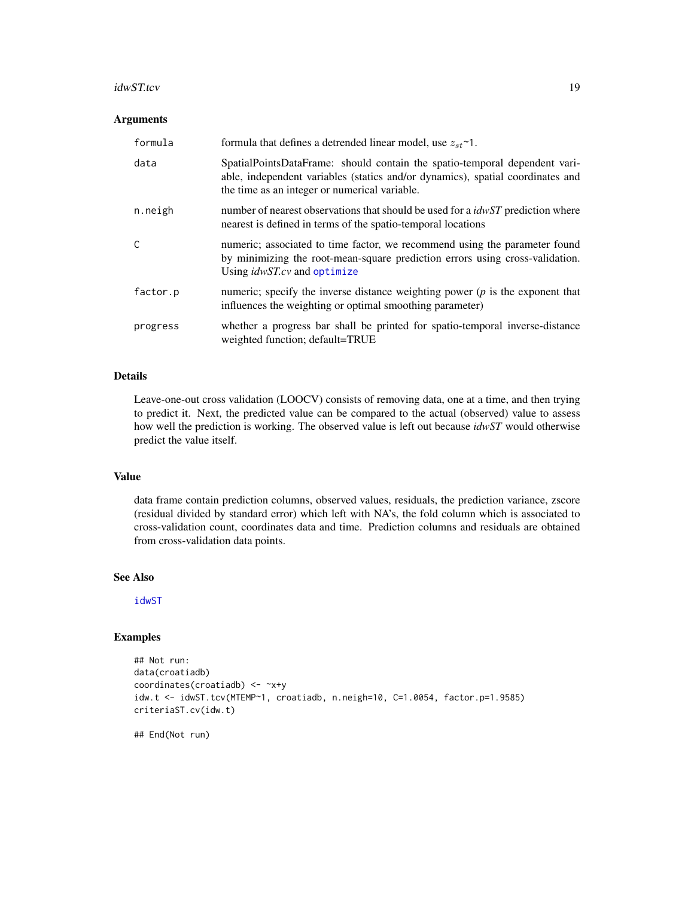#### <span id="page-18-0"></span>idwST.tcv 19

#### Arguments

| formula      | formula that defines a detrended linear model, use $z_{st}$ <sup>~1</sup> .                                                                                                                                   |
|--------------|---------------------------------------------------------------------------------------------------------------------------------------------------------------------------------------------------------------|
| data         | SpatialPointsDataFrame: should contain the spatio-temporal dependent vari-<br>able, independent variables (statics and/or dynamics), spatial coordinates and<br>the time as an integer or numerical variable. |
| n.neigh      | number of nearest observations that should be used for a <i>idwST</i> prediction where<br>nearest is defined in terms of the spatio-temporal locations                                                        |
| $\mathsf{C}$ | numeric; associated to time factor, we recommend using the parameter found<br>by minimizing the root-mean-square prediction errors using cross-validation.<br>Using <i>idwST.cv</i> and optimize              |
| factor.p     | numeric; specify the inverse distance weighting power $(p)$ is the exponent that<br>influences the weighting or optimal smoothing parameter)                                                                  |
| progress     | whether a progress bar shall be printed for spatio-temporal inverse-distance<br>weighted function; default=TRUE                                                                                               |

#### Details

Leave-one-out cross validation (LOOCV) consists of removing data, one at a time, and then trying to predict it. Next, the predicted value can be compared to the actual (observed) value to assess how well the prediction is working. The observed value is left out because *idwST* would otherwise predict the value itself.

# Value

data frame contain prediction columns, observed values, residuals, the prediction variance, zscore (residual divided by standard error) which left with NA's, the fold column which is associated to cross-validation count, coordinates data and time. Prediction columns and residuals are obtained from cross-validation data points.

# See Also

[idwST](#page-13-1)

# Examples

```
## Not run:
data(croatiadb)
coordinates(croatiadb) <- ~x+y
idw.t <- idwST.tcv(MTEMP~1, croatiadb, n.neigh=10, C=1.0054, factor.p=1.9585)
criteriaST.cv(idw.t)
```
## End(Not run)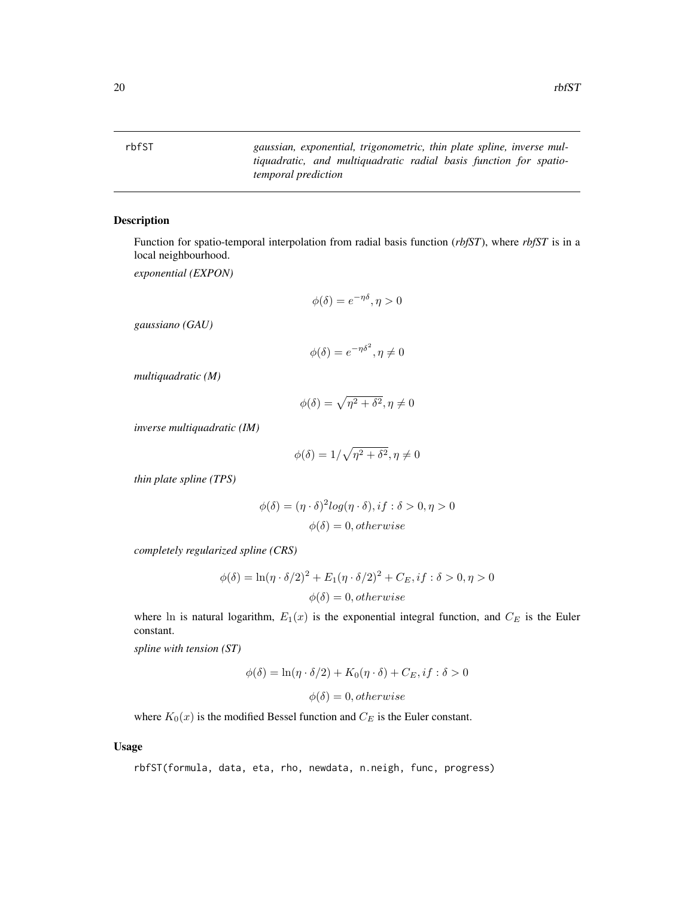<span id="page-19-1"></span><span id="page-19-0"></span>rbfST *gaussian, exponential, trigonometric, thin plate spline, inverse multiquadratic, and multiquadratic radial basis function for spatiotemporal prediction*

#### Description

Function for spatio-temporal interpolation from radial basis function (*rbfST*), where *rbfST* is in a local neighbourhood.

*exponential (EXPON)*

$$
\phi(\delta) = e^{-\eta \delta}, \eta > 0
$$

*gaussiano (GAU)*

$$
\phi(\delta) = e^{-\eta \delta^2}, \eta \neq 0
$$

*multiquadratic (M)*

$$
\phi(\delta) = \sqrt{\eta^2 + \delta^2}, \eta \neq 0
$$

*inverse multiquadratic (IM)*

$$
\phi(\delta) = 1/\sqrt{\eta^2 + \delta^2}, \eta \neq 0
$$

*thin plate spline (TPS)*

$$
\phi(\delta) = (\eta \cdot \delta)^2 \log(\eta \cdot \delta), if : \delta > 0, \eta > 0
$$

$$
\phi(\delta) = 0, otherwise
$$

*completely regularized spline (CRS)*

$$
\phi(\delta) = \ln(\eta \cdot \delta/2)^2 + E_1(\eta \cdot \delta/2)^2 + C_E, if : \delta > 0, \eta > 0
$$

$$
\phi(\delta) = 0, otherwise
$$

where ln is natural logarithm,  $E_1(x)$  is the exponential integral function, and  $C_E$  is the Euler constant.

*spline with tension (ST)*

$$
\phi(\delta) = \ln(\eta \cdot \delta/2) + K_0(\eta \cdot \delta) + C_E, if : \delta > 0
$$

$$
\phi(\delta) = 0, otherwise
$$

where  $K_0(x)$  is the modified Bessel function and  $C_E$  is the Euler constant.

#### Usage

rbfST(formula, data, eta, rho, newdata, n.neigh, func, progress)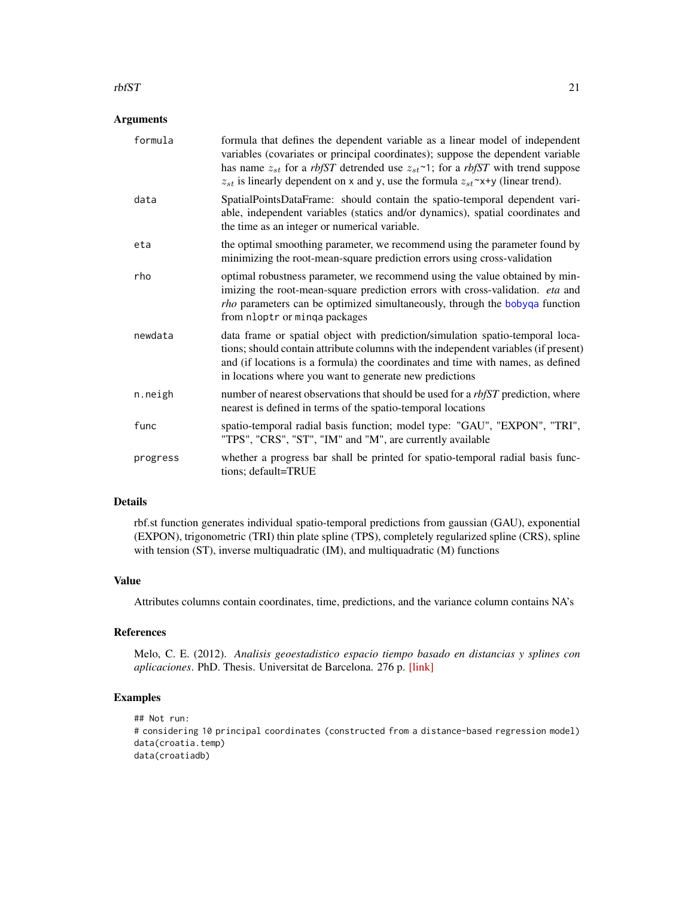#### <span id="page-20-0"></span> $\frac{1}{21}$

#### Arguments

| formula  | formula that defines the dependent variable as a linear model of independent<br>variables (covariates or principal coordinates); suppose the dependent variable<br>has name $z_{st}$ for a rbfST detrended use $z_{st}$ <sup>~1</sup> ; for a rbfST with trend suppose<br>$z_{st}$ is linearly dependent on x and y, use the formula $z_{st}$ x+y (linear trend). |
|----------|-------------------------------------------------------------------------------------------------------------------------------------------------------------------------------------------------------------------------------------------------------------------------------------------------------------------------------------------------------------------|
| data     | SpatialPointsDataFrame: should contain the spatio-temporal dependent vari-<br>able, independent variables (statics and/or dynamics), spatial coordinates and<br>the time as an integer or numerical variable.                                                                                                                                                     |
| eta      | the optimal smoothing parameter, we recommend using the parameter found by<br>minimizing the root-mean-square prediction errors using cross-validation                                                                                                                                                                                                            |
| rho      | optimal robustness parameter, we recommend using the value obtained by min-<br>imizing the root-mean-square prediction errors with cross-validation. eta and<br><i>rho</i> parameters can be optimized simultaneously, through the bobyqa function<br>from nloptr or minga packages                                                                               |
| newdata  | data frame or spatial object with prediction/simulation spatio-temporal loca-<br>tions; should contain attribute columns with the independent variables (if present)<br>and (if locations is a formula) the coordinates and time with names, as defined<br>in locations where you want to generate new predictions                                                |
| n.neigh  | number of nearest observations that should be used for a <i>rbfST</i> prediction, where<br>nearest is defined in terms of the spatio-temporal locations                                                                                                                                                                                                           |
| func     | spatio-temporal radial basis function; model type: "GAU", "EXPON", "TRI",<br>"TPS", "CRS", "ST", "IM" and "M", are currently available                                                                                                                                                                                                                            |
| progress | whether a progress bar shall be printed for spatio-temporal radial basis func-<br>tions; default=TRUE                                                                                                                                                                                                                                                             |

# Details

rbf.st function generates individual spatio-temporal predictions from gaussian (GAU), exponential (EXPON), trigonometric (TRI) thin plate spline (TPS), completely regularized spline (CRS), spline with tension (ST), inverse multiquadratic (IM), and multiquadratic (M) functions

# Value

Attributes columns contain coordinates, time, predictions, and the variance column contains NA's

# References

Melo, C. E. (2012). *Analisis geoestadistico espacio tiempo basado en distancias y splines con aplicaciones*. PhD. Thesis. Universitat de Barcelona. 276 p. [\[link\]](http://www.tdx.cat/bitstream/handle/10803/101202/CEMM_TESIS.pdf)

```
## Not run:
# considering 10 principal coordinates (constructed from a distance-based regression model)
data(croatia.temp)
data(croatiadb)
```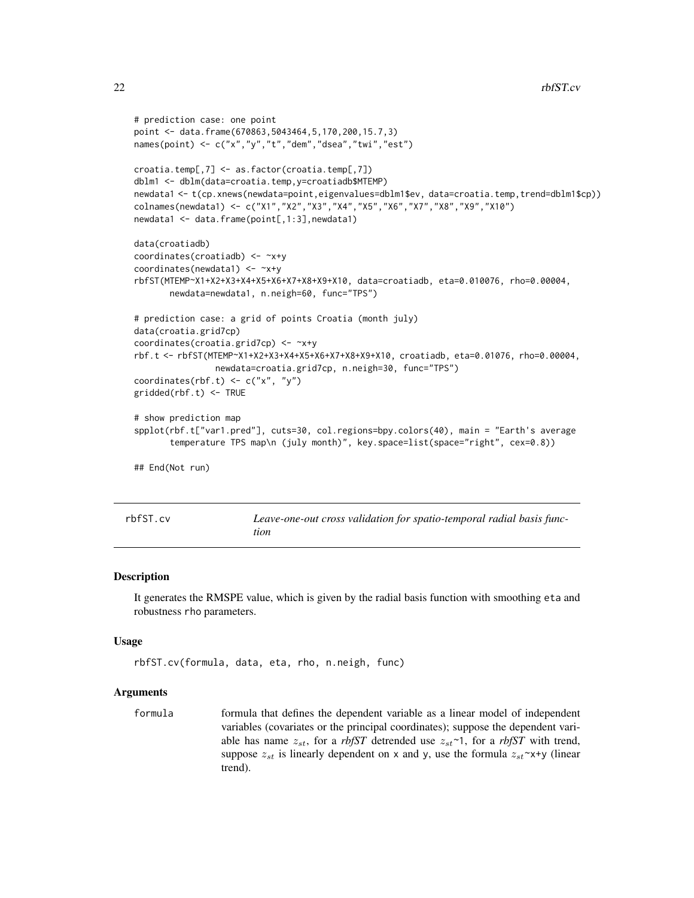```
# prediction case: one point
point <- data.frame(670863,5043464,5,170,200,15.7,3)
names(point) <- c("x","y","t","dem","dsea","twi","est")
croatia.temp[,7] <- as.factor(croatia.temp[,7])
dblm1 <- dblm(data=croatia.temp,y=croatiadb$MTEMP)
newdata1 <- t(cp.xnews(newdata=point,eigenvalues=dblm1$ev, data=croatia.temp,trend=dblm1$cp))
colnames(newdata1) <- c("X1","X2","X3","X4","X5","X6","X7","X8","X9","X10")
newdata1 <- data.frame(point[,1:3],newdata1)
data(croatiadb)
coordinates(croatiadb) <- ~x+y
coordinates(newdata1) <- ~x+y
rbfST(MTEMP~X1+X2+X3+X4+X5+X6+X7+X8+X9+X10, data=croatiadb, eta=0.010076, rho=0.00004,
      newdata=newdata1, n.neigh=60, func="TPS")
# prediction case: a grid of points Croatia (month july)
data(croatia.grid7cp)
coordinates(croatia.grid7cp) <- ~x+y
rbf.t <- rbfST(MTEMP~X1+X2+X3+X4+X5+X6+X7+X8+X9+X10, croatiadb, eta=0.01076, rho=0.00004,
                newdata=croatia.grid7cp, n.neigh=30, func="TPS")
coordinates(rbf.t) \leq c("x", "y")
gridded(rbf.t) <- TRUE
# show prediction map
spplot(rbf.t["var1.pred"], cuts=30, col.regions=bpy.colors(40), main = "Earth's average
       temperature TPS map\n (july month)", key.space=list(space="right", cex=0.8))
## End(Not run)
```
<span id="page-21-1"></span>

| rbfST. |  | c٧ |  |
|--------|--|----|--|
|--------|--|----|--|

Leave-one-out cross validation for spatio-temporal radial basis func*tion*

#### Description

It generates the RMSPE value, which is given by the radial basis function with smoothing eta and robustness rho parameters.

#### Usage

```
rbfST.cv(formula, data, eta, rho, n.neigh, func)
```
#### Arguments

formula formula that defines the dependent variable as a linear model of independent variables (covariates or the principal coordinates); suppose the dependent variable has name  $z_{st}$ , for a *rbfST* detrended use  $z_{st}$  ~1, for a *rbfST* with trend, suppose  $z_{st}$  is linearly dependent on x and y, use the formula  $z_{st} \sim x+y$  (linear trend).

<span id="page-21-0"></span>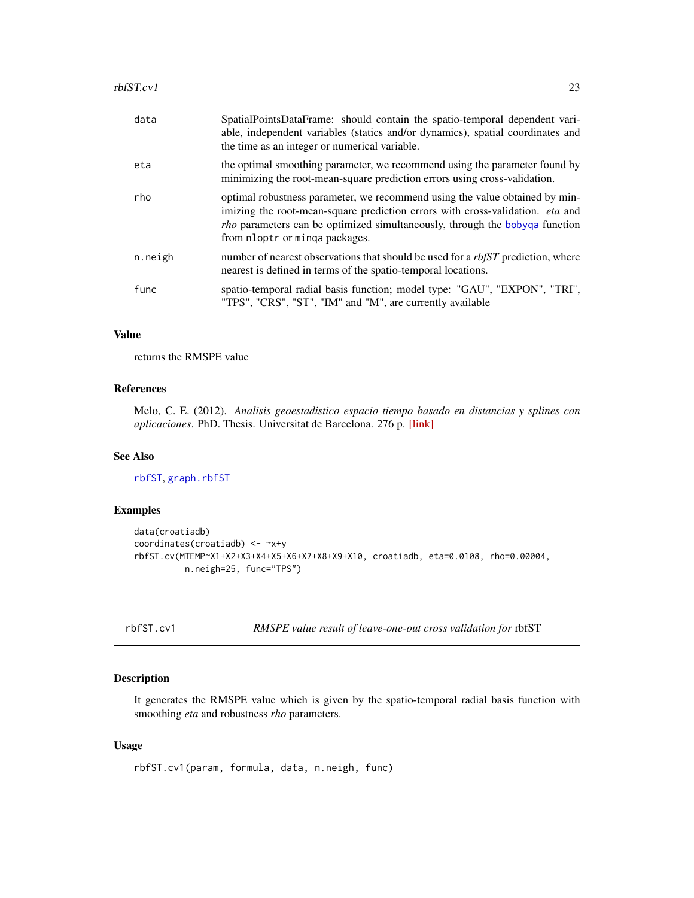<span id="page-22-0"></span>

| data    | SpatialPointsDataFrame: should contain the spatio-temporal dependent vari-<br>able, independent variables (statics and/or dynamics), spatial coordinates and<br>the time as an integer or numerical variable.                                                                        |
|---------|--------------------------------------------------------------------------------------------------------------------------------------------------------------------------------------------------------------------------------------------------------------------------------------|
| eta     | the optimal smoothing parameter, we recommend using the parameter found by<br>minimizing the root-mean-square prediction errors using cross-validation.                                                                                                                              |
| rho     | optimal robustness parameter, we recommend using the value obtained by min-<br>imizing the root-mean-square prediction errors with cross-validation. eta and<br><i>rho</i> parameters can be optimized simultaneously, through the bobyga function<br>from nloptr or minga packages. |
| n.neigh | number of nearest observations that should be used for a <i>rbfST</i> prediction, where<br>nearest is defined in terms of the spatio-temporal locations.                                                                                                                             |
| func    | spatio-temporal radial basis function; model type: "GAU", "EXPON", "TRI",<br>"TPS", "CRS", "ST", "IM" and "M", are currently available                                                                                                                                               |

#### Value

returns the RMSPE value

# References

Melo, C. E. (2012). *Analisis geoestadistico espacio tiempo basado en distancias y splines con aplicaciones*. PhD. Thesis. Universitat de Barcelona. 276 p. [\[link\]](http://www.tdx.cat/bitstream/handle/10803/101202/CEMM_TESIS.pdf)

# See Also

[rbfST](#page-19-1), [graph.rbfST](#page-11-1)

# Examples

```
data(croatiadb)
coordinates(croatiadb) <- ~x+y
rbfST.cv(MTEMP~X1+X2+X3+X4+X5+X6+X7+X8+X9+X10, croatiadb, eta=0.0108, rho=0.00004,
         n.neigh=25, func="TPS")
```
rbfST.cv1 *RMSPE value result of leave-one-out cross validation for* rbfST

# Description

It generates the RMSPE value which is given by the spatio-temporal radial basis function with smoothing *eta* and robustness *rho* parameters.

#### Usage

rbfST.cv1(param, formula, data, n.neigh, func)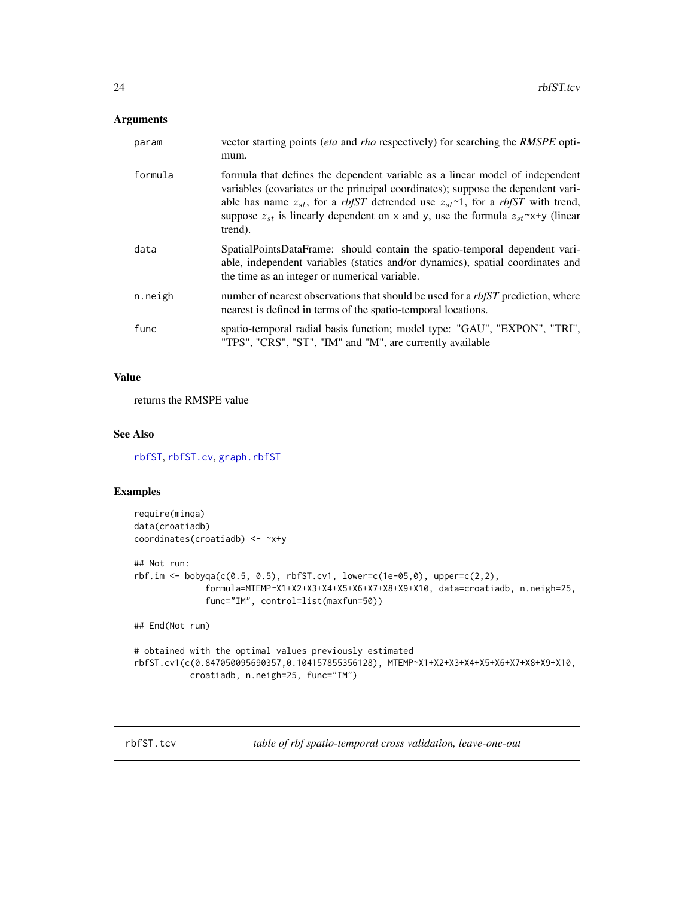# <span id="page-23-0"></span>Arguments

| param   | vector starting points <i>(eta</i> and <i>rho</i> respectively) for searching the <i>RMSPE</i> opti-<br>mum.                                                                                                                                                                                                                                                          |
|---------|-----------------------------------------------------------------------------------------------------------------------------------------------------------------------------------------------------------------------------------------------------------------------------------------------------------------------------------------------------------------------|
| formula | formula that defines the dependent variable as a linear model of independent<br>variables (covariates or the principal coordinates); suppose the dependent vari-<br>able has name $z_{st}$ , for a rbfST detrended use $z_{st}$ 1, for a rbfST with trend,<br>suppose $z_{st}$ is linearly dependent on x and y, use the formula $z_{st} \sim x+y$ (linear<br>trend). |
| data    | SpatialPointsDataFrame: should contain the spatio-temporal dependent vari-<br>able, independent variables (statics and/or dynamics), spatial coordinates and<br>the time as an integer or numerical variable.                                                                                                                                                         |
| n.neigh | number of nearest observations that should be used for a <i>rbfST</i> prediction, where<br>nearest is defined in terms of the spatio-temporal locations.                                                                                                                                                                                                              |
| func    | spatio-temporal radial basis function; model type: "GAU", "EXPON", "TRI",<br>"TPS", "CRS", "ST", "IM" and "M", are currently available                                                                                                                                                                                                                                |

# Value

returns the RMSPE value

#### See Also

[rbfST](#page-19-1), [rbfST.cv](#page-21-1), [graph.rbfST](#page-11-1)

# Examples

```
require(minqa)
data(croatiadb)
coordinates(croatiadb) <- ~x+y
## Not run:
rbf.in \leq bbbyqa(c(0.5, 0.5), rbfST.cv1, lower=c(1e-05,0), upper=c(2,2),formula=MTEMP~X1+X2+X3+X4+X5+X6+X7+X8+X9+X10, data=croatiadb, n.neigh=25,
              func="IM", control=list(maxfun=50))
## End(Not run)
# obtained with the optimal values previously estimated
rbfST.cv1(c(0.847050095690357,0.104157855356128), MTEMP~X1+X2+X3+X4+X5+X6+X7+X8+X9+X10,
           croatiadb, n.neigh=25, func="IM")
```
<span id="page-23-1"></span>rbfST.tcv *table of rbf spatio-temporal cross validation, leave-one-out*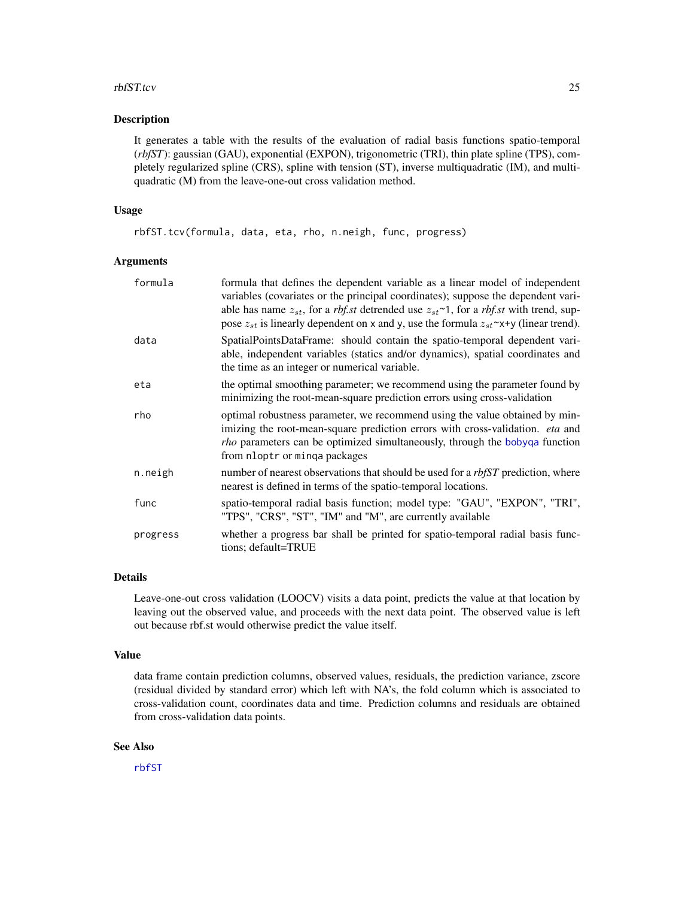#### <span id="page-24-0"></span>rbfST.tcv 25

#### Description

It generates a table with the results of the evaluation of radial basis functions spatio-temporal (*rbfST*): gaussian (GAU), exponential (EXPON), trigonometric (TRI), thin plate spline (TPS), completely regularized spline (CRS), spline with tension (ST), inverse multiquadratic (IM), and multiquadratic (M) from the leave-one-out cross validation method.

# Usage

rbfST.tcv(formula, data, eta, rho, n.neigh, func, progress)

# Arguments

| formula  | formula that defines the dependent variable as a linear model of independent<br>variables (covariates or the principal coordinates); suppose the dependent vari-<br>able has name $z_{st}$ , for a <i>rbf.st</i> detrended use $z_{st}$ <sup><math>\sim</math></sup> 1, for a <i>rbf.st</i> with trend, sup-<br>pose $z_{st}$ is linearly dependent on x and y, use the formula $z_{st} \sim x+y$ (linear trend). |
|----------|-------------------------------------------------------------------------------------------------------------------------------------------------------------------------------------------------------------------------------------------------------------------------------------------------------------------------------------------------------------------------------------------------------------------|
| data     | SpatialPointsDataFrame: should contain the spatio-temporal dependent vari-<br>able, independent variables (statics and/or dynamics), spatial coordinates and<br>the time as an integer or numerical variable.                                                                                                                                                                                                     |
| eta      | the optimal smoothing parameter; we recommend using the parameter found by<br>minimizing the root-mean-square prediction errors using cross-validation                                                                                                                                                                                                                                                            |
| rho      | optimal robustness parameter, we recommend using the value obtained by min-<br>imizing the root-mean-square prediction errors with cross-validation. eta and<br><i>rho</i> parameters can be optimized simultaneously, through the bobyqa function<br>from nloptr or minga packages                                                                                                                               |
| n.neigh  | number of nearest observations that should be used for a <i>rbfST</i> prediction, where<br>nearest is defined in terms of the spatio-temporal locations.                                                                                                                                                                                                                                                          |
| func     | spatio-temporal radial basis function; model type: "GAU", "EXPON", "TRI",<br>"TPS", "CRS", "ST", "IM" and "M", are currently available                                                                                                                                                                                                                                                                            |
| progress | whether a progress bar shall be printed for spatio-temporal radial basis func-<br>tions; default=TRUE                                                                                                                                                                                                                                                                                                             |

# Details

Leave-one-out cross validation (LOOCV) visits a data point, predicts the value at that location by leaving out the observed value, and proceeds with the next data point. The observed value is left out because rbf.st would otherwise predict the value itself.

# Value

data frame contain prediction columns, observed values, residuals, the prediction variance, zscore (residual divided by standard error) which left with NA's, the fold column which is associated to cross-validation count, coordinates data and time. Prediction columns and residuals are obtained from cross-validation data points.

# See Also

[rbfST](#page-19-1)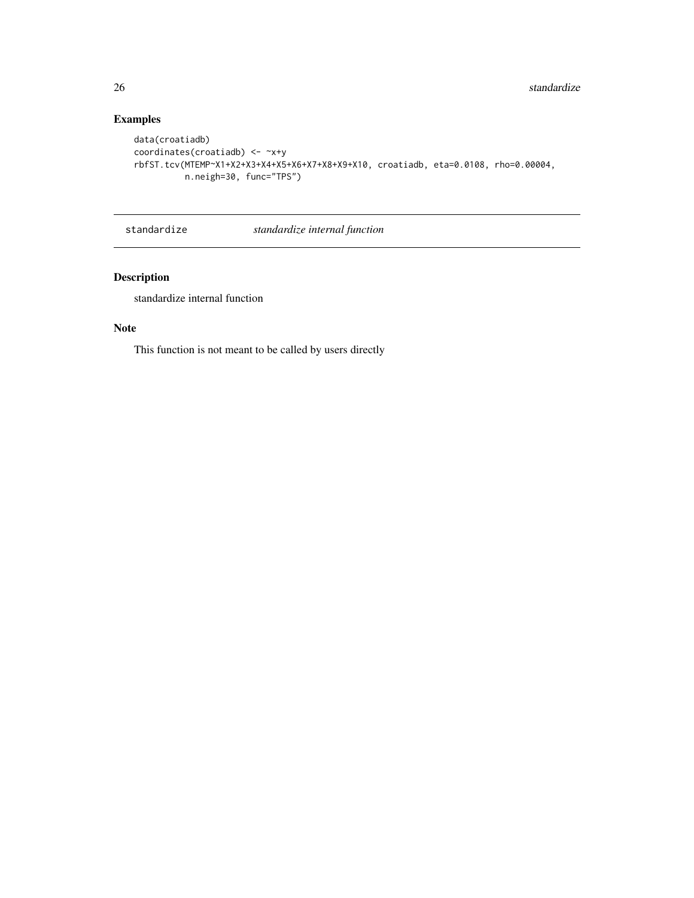# Examples

```
data(croatiadb)
coordinates(croatiadb) <- ~x+y
rbfST.tcv(MTEMP~X1+X2+X3+X4+X5+X6+X7+X8+X9+X10, croatiadb, eta=0.0108, rho=0.00004,
         n.neigh=30, func="TPS")
```
standardize *standardize internal function*

# Description

standardize internal function

# Note

This function is not meant to be called by users directly

<span id="page-25-0"></span>